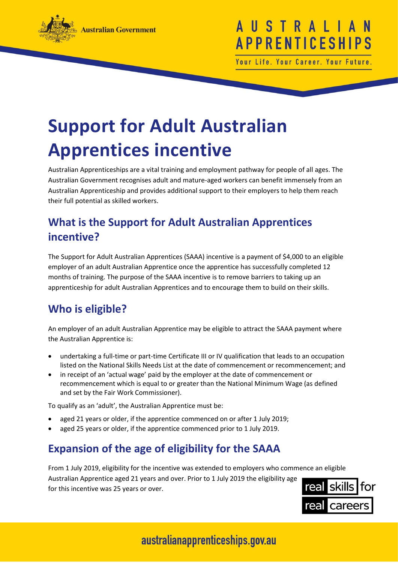

# USTRAL **APPRENTICESHI**

Your Life. Your Career. Your Future

# **Support for Adult Australian Apprentices incentive**

Australian Apprenticeships are a vital training and employment pathway for people of all ages. The Australian Government recognises adult and mature-aged workers can benefit immensely from an Australian Apprenticeship and provides additional support to their employers to help them reach their full potential as skilled workers.

## **What is the Support for Adult Australian Apprentices incentive?**

The Support for Adult Australian Apprentices (SAAA) incentive is a payment of \$4,000 to an eligible employer of an adult Australian Apprentice once the apprentice has successfully completed 12 months of training. The purpose of the SAAA incentive is to remove barriers to taking up an apprenticeship for adult Australian Apprentices and to encourage them to build on their skills.

# **Who is eligible?**

An employer of an adult Australian Apprentice may be eligible to attract the SAAA payment where the Australian Apprentice is:

- undertaking a full-time or part-time Certificate III or IV qualification that leads to an occupation listed on the National Skills Needs List at the date of commencement or recommencement; and
- in receipt of an 'actual wage' paid by the employer at the date of commencement or recommencement which is equal to or greater than the National Minimum Wage (as defined and set by the Fair Work Commissioner).

To qualify as an 'adult', the Australian Apprentice must be:

- aged 21 years or older, if the apprentice commenced on or after 1 July 2019;
- aged 25 years or older, if the apprentice commenced prior to 1 July 2019.

### **Expansion of the age of eligibility for the SAAA**

From 1 July 2019, eligibility for the incentive was extended to employers who commence an eligible Australian Apprentice aged 21 years and over. Prior to 1 July 2019 the eligibility age for this incentive was 25 years or over.



# australianapprenticeships.gov.au